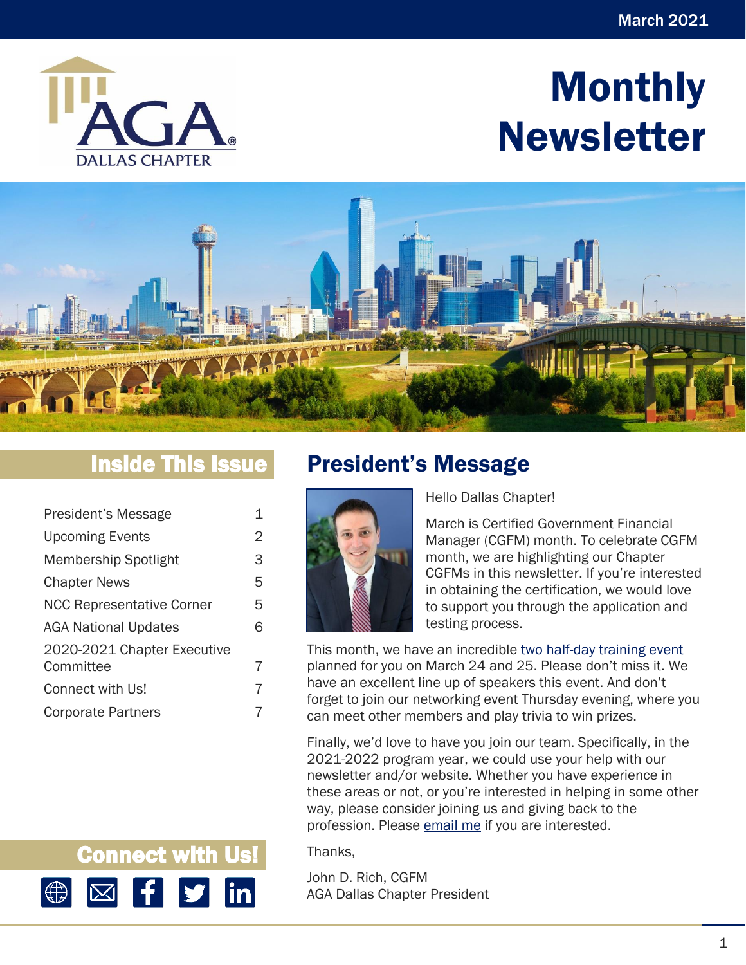

# Monthly Newsletter



# Inside This Issue

| President's Message              | 1 |
|----------------------------------|---|
| <b>Upcoming Events</b>           | 2 |
| Membership Spotlight             | З |
| <b>Chapter News</b>              | 5 |
| <b>NCC Representative Corner</b> | 5 |
| <b>AGA National Updates</b>      | 6 |
| 2020-2021 Chapter Executive      |   |
| Committee                        | 7 |
| Connect with Us!                 | 7 |
| <b>Corporate Partners</b>        |   |

Connect with Us!

₩

 $\vert$ in $\vert$ 

# <span id="page-0-0"></span>President's Message



Hello Dallas Chapter!

March is Certified Government Financial Manager (CGFM) month. To celebrate CGFM month, we are highlighting our Chapter CGFMs in this newsletter. If you're interested in obtaining the certification, we would love to support you through the application and testing process.

This month, we have an incredible two half-day [training event](https://www.agacgfm.org/Chapters/Dallas-Chapter/Training-Events/Event-Calendar.aspx) planned for you on March 24 and 25. Please don't miss it. We have an excellent line up of speakers this event. And don't forget to join our networking event Thursday evening, where you can meet other members and play trivia to win prizes.

Finally, we'd love to have you join our team. Specifically, in the 2021-2022 program year, we could use your help with our newsletter and/or website. Whether you have experience in these areas or not, or you're interested in helping in some other way, please consider joining us and giving back to the profession. Please [email me](mailto:mrrich_us@yahoo.com) if you are interested.

Thanks,

John D. Rich, CGFM AGA Dallas Chapter President

1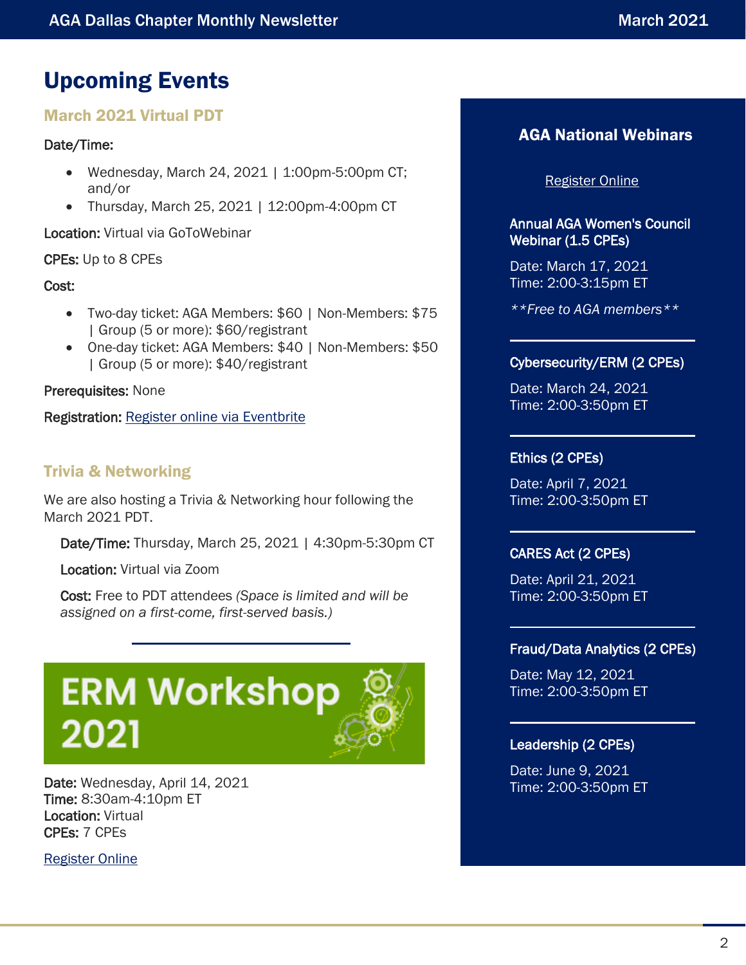# <span id="page-1-0"></span>Upcoming Events

# March 2021 Virtual PDT

# Date/Time:

- Wednesday, March 24, 2021 | 1:00pm-5:00pm CT; and/or
- Thursday, March 25, 2021 | 12:00pm-4:00pm CT

Location: Virtual via GoToWebinar

# CPEs: Up to 8 CPEs

### Cost:

- Two-day ticket: AGA Members: \$60 | Non-Members: \$75 | Group (5 or more): \$60/registrant
- One-day ticket: AGA Members: \$40 | Non-Members: \$50 | Group (5 or more): \$40/registrant

### Prerequisites: None

Registration: Register [online via Eventbrite](https://joint-virtual-march-2021-pdt.eventbrite.com/)

# Trivia & Networking

We are also hosting a Trivia & Networking hour following the March 2021 PDT.

Date/Time: Thursday, March 25, 2021 | 4:30pm-5:30pm CT

Location: Virtual via Zoom

Cost: Free to PDT attendees *(Space is limited and will be assigned on a first-come, first-served basis.)*



Date: Wednesday, April 14, 2021 Time: 8:30am-4:10pm ET Location: Virtual CPEs: 7 CPEs

[Register Online](https://www.agacgfm.org/ERM-Workshop/Home.aspx)

# AGA National Webinars

### [Register Online](https://www.agacgfm.org/webinars.aspx)

### Annual AGA Women's Council Webinar (1.5 CPEs)

Date: March 17, 2021 Time: 2:00-3:15pm ET

*\*\*Free to AGA members\*\**

### Cybersecurity/ERM (2 CPEs)

Date: March 24, 2021 Time: 2:00-3:50pm ET

### Ethics (2 CPEs)

Date: April 7, 2021 Time: 2:00-3:50pm ET

### CARES Act (2 CPEs)

Date: April 21, 2021 Time: 2:00-3:50pm ET

### Fraud/Data Analytics (2 CPEs)

Date: May 12, 2021 Time: 2:00-3:50pm ET

### Leadership (2 CPEs)

Date: June 9, 2021 Time: 2:00-3:50pm ET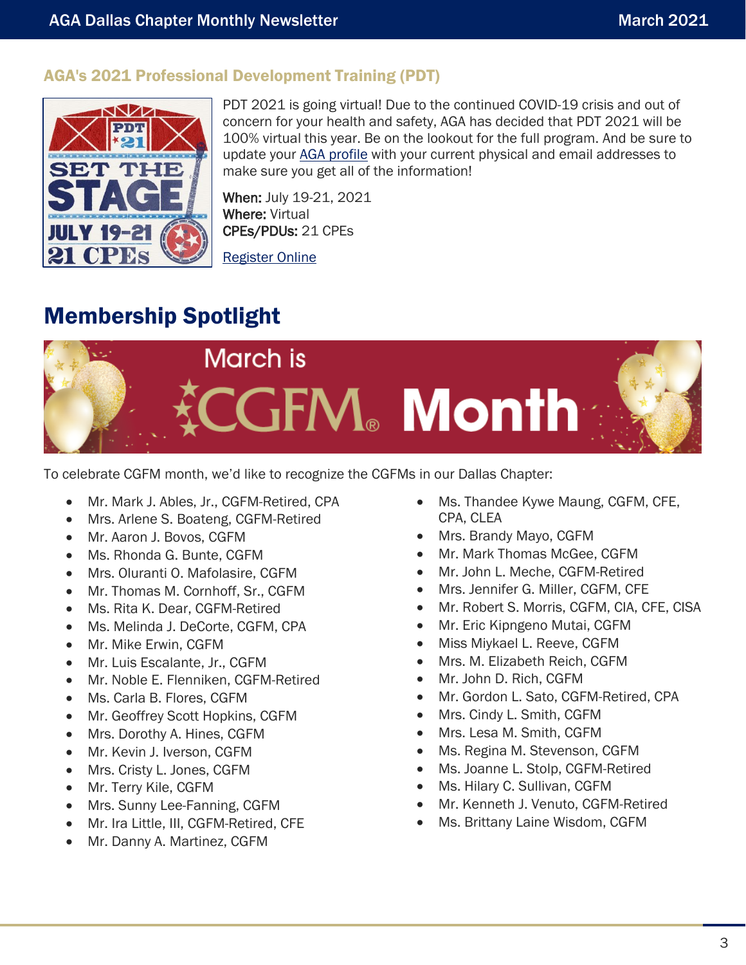# AGA's 2021 Professional Development Training (PDT)



PDT 2021 is going virtual! Due to the continued COVID-19 crisis and out of concern for your health and safety, AGA has decided that PDT 2021 will be 100% virtual this year. Be on the lookout for the full program. And be sure to update your [AGA profile](https://www.agacgfm.org/MyAGA/Profile.aspx) with your current physical and email addresses to make sure you get all of the information!

When: July 19-21, 2021 Where: Virtual CPEs/PDUs: 21 CPEs

[Register Online](https://www.agacgfm.org/PDT/Home.aspx)

# <span id="page-2-0"></span>Membership Spotlight



To celebrate CGFM month, we'd like to recognize the CGFMs in our Dallas Chapter:

- Mr. Mark J. Ables, Jr., CGFM-Retired, CPA
- Mrs. Arlene S. Boateng, CGFM-Retired
- Mr. Aaron J. Bovos, CGFM
- Ms. Rhonda G. Bunte, CGFM
- Mrs. Oluranti O. Mafolasire, CGFM
- Mr. Thomas M. Cornhoff, Sr., CGFM
- Ms. Rita K. Dear, CGFM-Retired
- Ms. Melinda J. DeCorte, CGFM, CPA
- Mr. Mike Erwin, CGFM
- Mr. Luis Escalante, Jr., CGFM
- Mr. Noble E. Flenniken, CGFM-Retired
- Ms. Carla B. Flores, CGFM
- Mr. Geoffrey Scott Hopkins, CGFM
- Mrs. Dorothy A. Hines, CGFM
- Mr. Kevin J. Iverson, CGFM
- Mrs. Cristy L. Jones, CGFM
- Mr. Terry Kile, CGFM
- Mrs. Sunny Lee-Fanning, CGFM
- Mr. Ira Little, III, CGFM-Retired, CFE
- Mr. Danny A. Martinez, CGFM
- Ms. Thandee Kywe Maung, CGFM, CFE, CPA, CLEA
- Mrs. Brandy Mayo, CGFM
- Mr. Mark Thomas McGee, CGFM
- Mr. John L. Meche, CGFM-Retired
- Mrs. Jennifer G. Miller, CGFM, CFE
- Mr. Robert S. Morris, CGFM, CIA, CFE, CISA
- Mr. Eric Kipngeno Mutai, CGFM
- Miss Miykael L. Reeve, CGFM
- Mrs. M. Elizabeth Reich, CGFM
- Mr. John D. Rich, CGFM
- Mr. Gordon L. Sato, CGFM-Retired, CPA
- Mrs. Cindy L. Smith, CGFM
- Mrs. Lesa M. Smith, CGFM
- Ms. Regina M. Stevenson, CGFM
- Ms. Joanne L. Stolp, CGFM-Retired
- Ms. Hilary C. Sullivan, CGFM
- Mr. Kenneth J. Venuto, CGFM-Retired
- Ms. Brittany Laine Wisdom, CGFM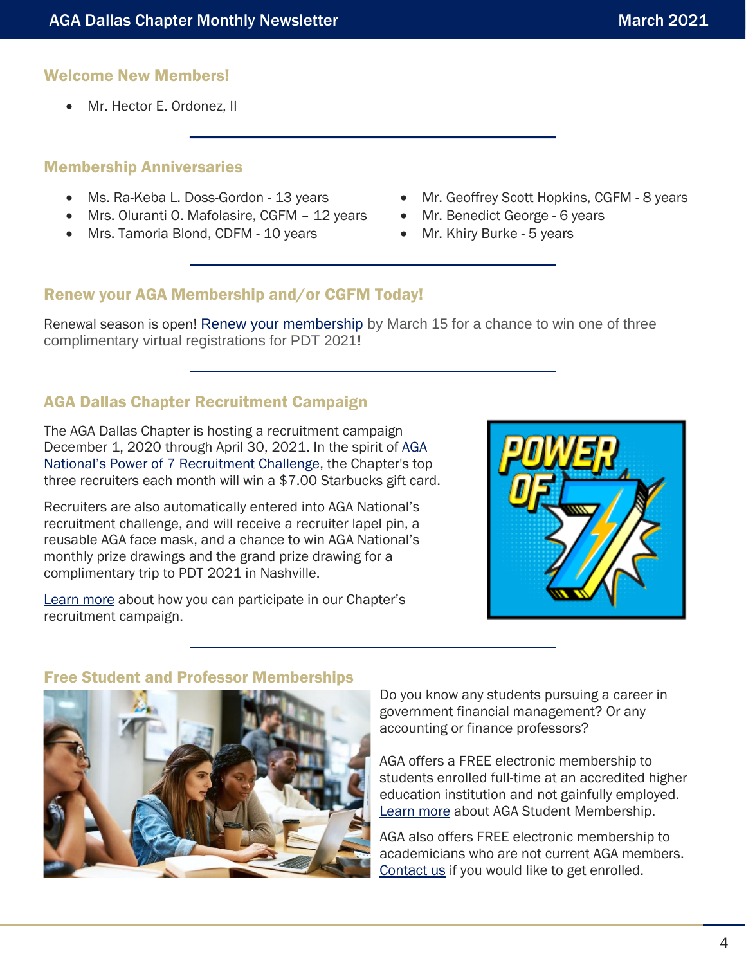# Welcome New Members!

• Mr. Hector E. Ordonez, II

## Membership Anniversaries

- Ms. Ra-Keba L. Doss-Gordon 13 years
- Mrs. Oluranti O. Mafolasire, CGFM 12 years
- Mrs. Tamoria Blond, CDFM 10 years
- Mr. Geoffrey Scott Hopkins, CGFM 8 years
- Mr. Benedict George 6 years
- Mr. Khiry Burke 5 years

# Renew your AGA Membership and/or CGFM Today!

Renewal season is open! [Renew your membership](https://www.agacgfm.org/Membership/Learn-About-AGA/Join-or-Renew.aspx) by March 15 for a chance to win one of three complimentary virtual registrations for PDT 2021**!**

# AGA Dallas Chapter Recruitment Campaign

The AGA Dallas Chapter is hosting a recruitment campaign December 1, 2020 through April 30, 2021. In the spirit of AGA [National's Power of 7 Recruitment Challenge](https://www.agacgfm.org/Membership/Connect/Recruit-a-Member.aspx), the Chapter's top three recruiters each month will win a \$7.00 Starbucks gift card.

Recruiters are also automatically entered into AGA National's recruitment challenge, and will receive a recruiter lapel pin, a reusable AGA face mask, and a chance to win AGA National's monthly prize drawings and the grand prize drawing for a complimentary trip to PDT 2021 in Nashville.

[Learn more](https://www.agacgfm.org/Membership/Connect/Recruit-a-Member.aspx) about how you can participate in our Chapter's recruitment campaign.



## Free Student and Professor Memberships



Do you know any students pursuing a career in government financial management? Or any accounting or finance professors?

AGA offers a FREE electronic membership to students enrolled full-time at an accredited higher education institution and not gainfully employed. [Learn more](https://www.agacgfm.org/Membership/Connect/Students.aspx) about AGA Student Membership.

AGA also offers FREE electronic membership to academicians who are not current AGA members. [Contact us](mailto:agadallaschapter@gmail.com) if you would like to get enrolled.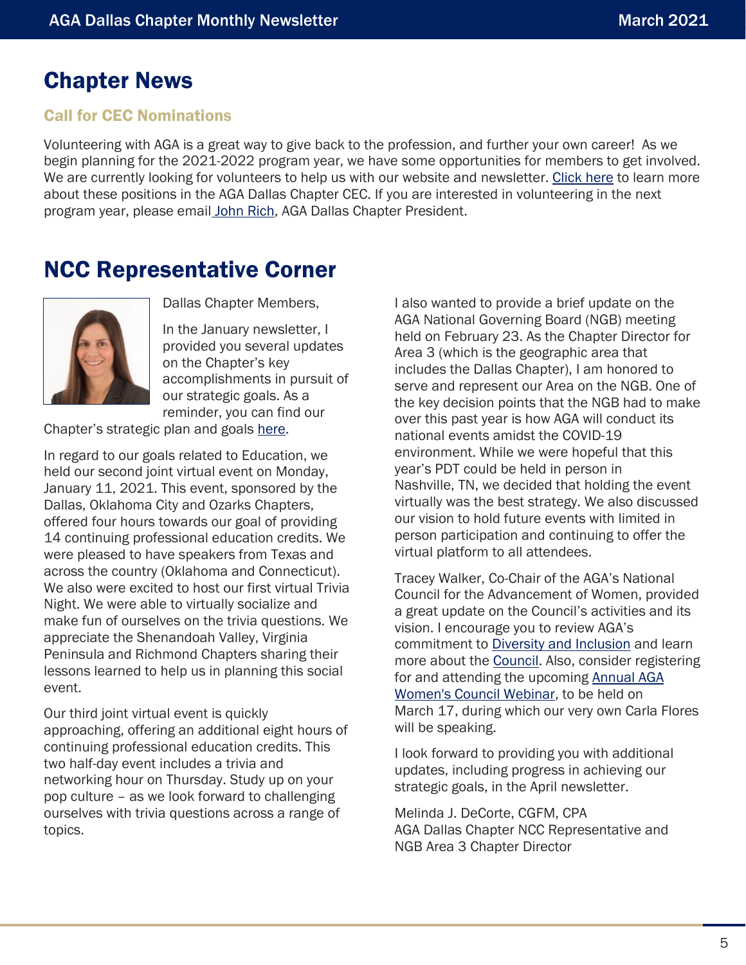# <span id="page-4-0"></span>Chapter News

# Call for CEC Nominations

Volunteering with AGA is a great way to give back to the profession, and further your own career! As we begin planning for the 2021-2022 program year, we have some opportunities for members to get involved. We are currently looking for volunteers to help us with our website and newsletter. [Click here](mailto:https://www.agacgfm.org/CMSSiteImages/Chapters/Chapters/Dallas-Chapter/libraries/files/AGA%20Dallas%20Chapter%20Policies%20and%20Procedures_2020.pdf%23page=4) to learn more about these positions in the AGA Dallas Chapter CEC. If you are interested in volunteering in the next program year, please email [John Rich,](mailto:mrrich_us@yahoo.com) AGA Dallas Chapter President.

# <span id="page-4-1"></span>NCC Representative Corner



Dallas Chapter Members,

In the January newsletter, I provided you several updates on the Chapter's key accomplishments in pursuit of our strategic goals. As a reminder, you can find our

Chapter's strategic plan and goals [here.](https://www.agacgfm.org/CMSSiteImages/Chapters/Chapters/Dallas-Chapter/libraries/files/AGA%20Dallas%20Strategic%20Goals_2020-2021.pdf)

In regard to our goals related to Education, we held our second joint virtual event on Monday, January 11, 2021. This event, sponsored by the Dallas, Oklahoma City and Ozarks Chapters, offered four hours towards our goal of providing 14 continuing professional education credits. We were pleased to have speakers from Texas and across the country (Oklahoma and Connecticut). We also were excited to host our first virtual Trivia Night. We were able to virtually socialize and make fun of ourselves on the trivia questions. We appreciate the Shenandoah Valley, Virginia Peninsula and Richmond Chapters sharing their lessons learned to help us in planning this social event.

Our third joint virtual event is quickly approaching, offering an additional eight hours of continuing professional education credits. This two half-day event includes a trivia and networking hour on Thursday. Study up on your pop culture – as we look forward to challenging ourselves with trivia questions across a range of topics.

I also wanted to provide a brief update on the AGA National Governing Board (NGB) meeting held on February 23. As the Chapter Director for Area 3 (which is the geographic area that includes the Dallas Chapter), I am honored to serve and represent our Area on the NGB. One of the key decision points that the NGB had to make over this past year is how AGA will conduct its national events amidst the COVID-19 environment. While we were hopeful that this year's PDT could be held in person in Nashville, TN, we decided that holding the event virtually was the best strategy. We also discussed our vision to hold future events with limited in person participation and continuing to offer the virtual platform to all attendees.

Tracey Walker, Co-Chair of the AGA's National Council for the Advancement of Women, provided a great update on the Council's activities and its vision. I encourage you to review AGA's commitment to [Diversity and Inclusion](https://www.agacgfm.org/About/Diversity-and-Inclusion.aspx) and learn more about the [Council.](https://www.agacgfm.org/About/Leadership/National-Boards-and-Committees/Council-for-Advancement-of-Women.aspx) Also, consider registering for and attending the upcoming [Annual AGA](https://www.agacgfm.org/Webinars/2020-2021-Webinars/March-Members-Only-Webinar.aspx)  [Women's Council Webinar,](https://www.agacgfm.org/Webinars/2020-2021-Webinars/March-Members-Only-Webinar.aspx) to be held on March 17, during which our very own Carla Flores will be speaking.

I look forward to providing you with additional updates, including progress in achieving our strategic goals, in the April newsletter.

Melinda J. DeCorte, CGFM, CPA AGA Dallas Chapter NCC Representative and NGB Area 3 Chapter Director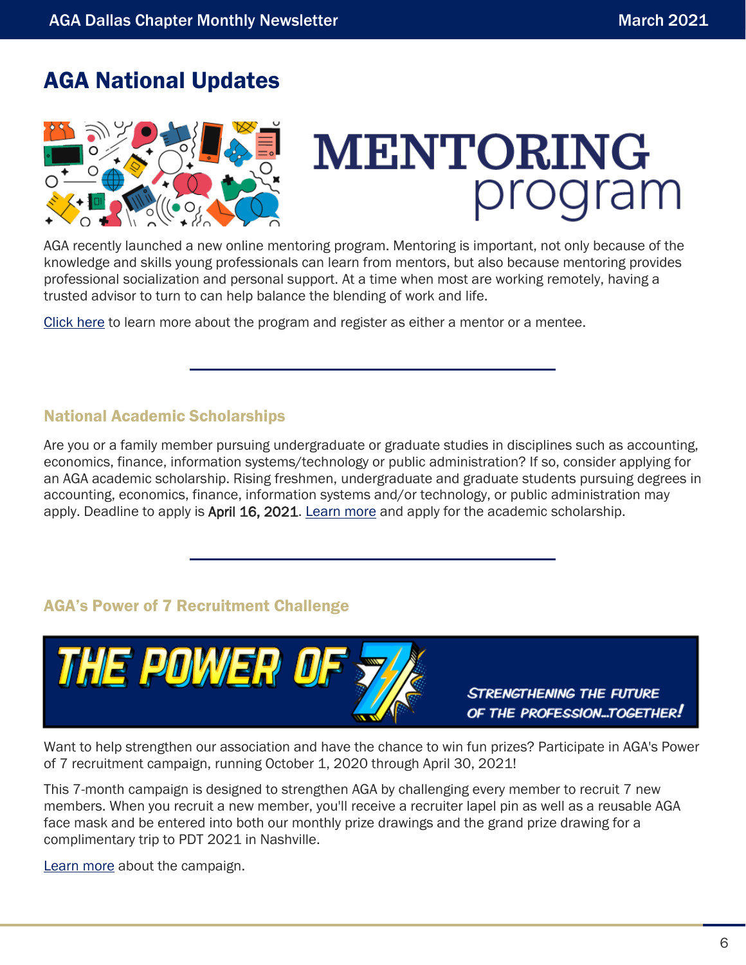# <span id="page-5-0"></span>AGA National Updates



# **MENTORING**

AGA recently launched a new online mentoring program. Mentoring is important, not only because of the knowledge and skills young professionals can learn from mentors, but also because mentoring provides professional socialization and personal support. At a time when most are working remotely, having a trusted advisor to turn to can help balance the blending of work and life.

[Click here](https://www.agacgfm.org/Membership/Connect/Mentoring-Program.aspx) to learn more about the program and register as either a mentor or a mentee.

# National Academic Scholarships

Are you or a family member pursuing undergraduate or graduate studies in disciplines such as accounting, economics, finance, information systems/technology or public administration? If so, consider applying for an AGA academic scholarship. Rising freshmen, undergraduate and graduate students pursuing degrees in accounting, economics, finance, information systems and/or technology, or public administration may apply. Deadline to apply is April 16, 2021. [Learn more](https://www.agacgfm.org/Membership/Connect/Awards-Recognition/Scholarships.aspx) and apply for the academic scholarship.

# AGA's Power of 7 Recruitment Challenge



Want to help strengthen our association and have the chance to win fun prizes? Participate in AGA's Power of 7 recruitment campaign, running October 1, 2020 through April 30, 2021!

This 7-month campaign is designed to strengthen AGA by challenging every member to recruit 7 new members. When you recruit a new member, you'll receive a recruiter lapel pin as well as a reusable AGA face mask and be entered into both our monthly prize drawings and the grand prize drawing for a complimentary trip to PDT 2021 in Nashville.

[Learn more](https://www.agacgfm.org/Membership/Connect/Recruit-a-Member.aspx) about the campaign.